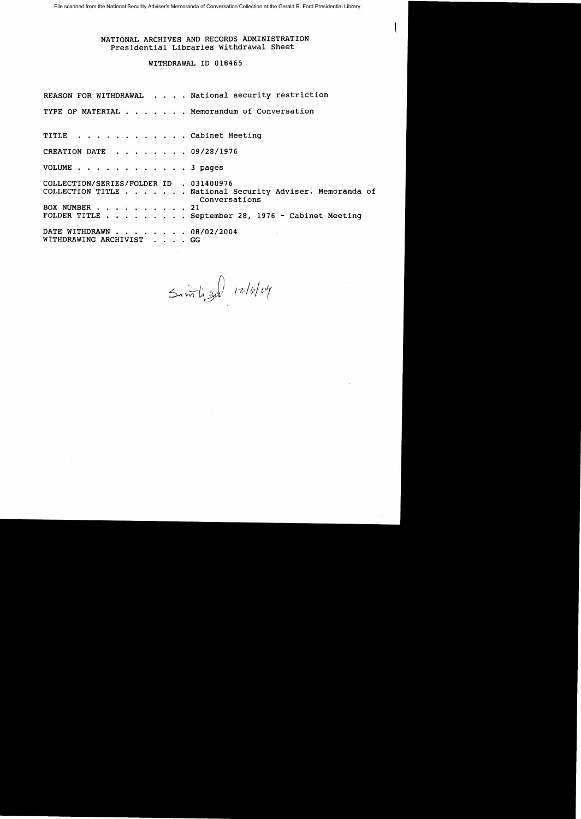File scanned from the National Security Adviser's Memoranda of Conversation Collection at the Gerald R. Ford Presidential Library

# NATIONAL ARCHIVES AND RECORDS ADMINISTRATION Presidential Libraries Withdrawal Sheet

## WITHDRAWAL ID 01S465

REASON FOR WITHDRAWAL . . . . National security restriction TYPE OF MATERIAL . . . . . . Memorandum of Conversation TITLE . . . . . . . . . . . Cabinet Meeting CREATION DATE . . . . . . 09/28/1976 VOLUME . . . . . . . . . . . . 3 pages COLLECTION/SERIES/FOLDER ID . 031400976 COLLECTION TITLE . . . . . . National Security Adviser. Memoranda of Conversations<br>
.. 21 BOX NUMBER . . .<br>FOLDER TITLE . .  $\ldots$  . September 28, 1976 - Cabinet Meeting DATE WITHDRAWN . . . . . . . 08/02/2004 WITHDRAWING ARCHIVIST . . . . GG

 $\sinh 3d$  12/6/04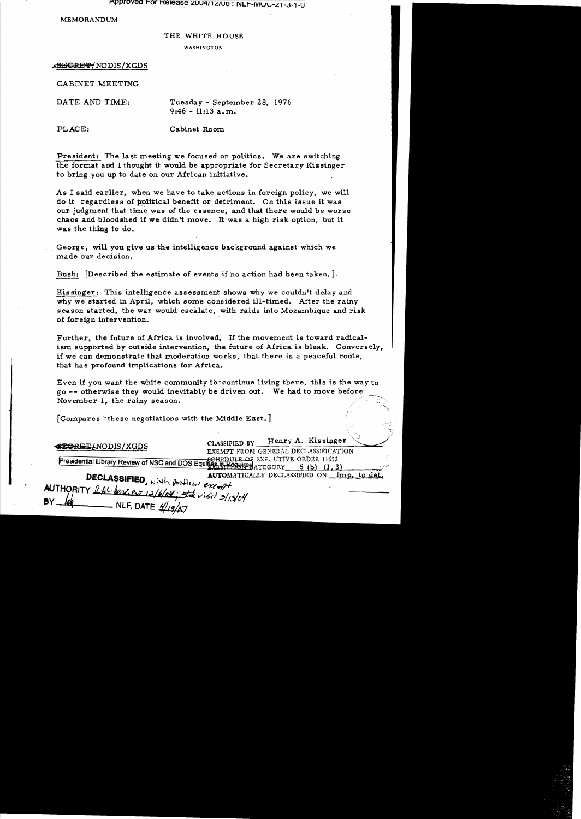Approved For Release 2004/12/06: NLF-MUU-21-3-1-0

MEMORANDUM

#### THE WHITE HOUSE

WASHINGTON

~/NODIS/XGDS

CABINET MEETING

DATE AND TIME:

Tuesday - September 28, 1976 9:46 - 11:13 a. m.

PLACE: Cabinet Room

President: The last meeting we focused on politics. We are switching the format and I thought it would be appropriate for Secretary Kissinger to bring you up to date on our African initiative.

As I said earlier, when we have to take actions in foreign policy, we will do it regardless of political benefit or detriment. On this issue it was our judgment that time was of the essence, and that there would be worse chaos and bloodshed if we didn't move. It was a high risk option, but it was the thing to do.

George, will you give us the intelligence background against which we made our decision.

Bush: [Described the estimate of events if no action had been taken.].

Kissinger: This intelligence assessment shows why we couldn't delay and why we started in April, which some considered ill-timed. After the rainy season started, the war would escalate, with raids into Mozambique and risk of foreign intervention.

Further, the future of Africa is involved. If the movement is toward radicalism supported by outside intervention, the future of Africa is bleak. Conversely, if we can demonstrate that moderation works, that there is a peaceful route, that has profound implications for Africa.

Even if you want the white community to continue living there, this is the way to go -- otherwise they would inevitably be driven out. We had to move before that has profound implications for Africa.<br>
Even if you want the white community to continue living there, this is the way to<br>
go -- otherwise they would inevitably be driven out. We had to move before<br>
November 1, the rai

[Compares these negotiations with the Middle East.]

| I Antihare on this be treed antenna and an and literature then all                                                                                                                      |                                                                                    |  |
|-----------------------------------------------------------------------------------------------------------------------------------------------------------------------------------------|------------------------------------------------------------------------------------|--|
| SESRET (NODIS / XGDS                                                                                                                                                                    | Henry A. Kissinger<br><b>CLASSIFIED BY</b><br>EXEMPT FROM GENERAL DECLASSIFICATION |  |
| <b>Presidential Library Review of NSC and DOS Equities. ISBN DULE OF EXE. UTIVE ORDER 11652</b><br><b>Presidential Library Review of NSC and DOS Equities. ISBN JULE ORY 5 (b) (1.3</b> |                                                                                    |  |
| DECLASSIFIED, with position exempt                                                                                                                                                      | <b>AUTOMATICALLY DECLASSIFIED ON Imp. to det.</b>                                  |  |
| AUTHORITY RACPENEW 12/6/04; State visit 3/13/04<br>BY I<br>$\frac{1}{4}$ NLF, DATE $\frac{1}{4}$                                                                                        |                                                                                    |  |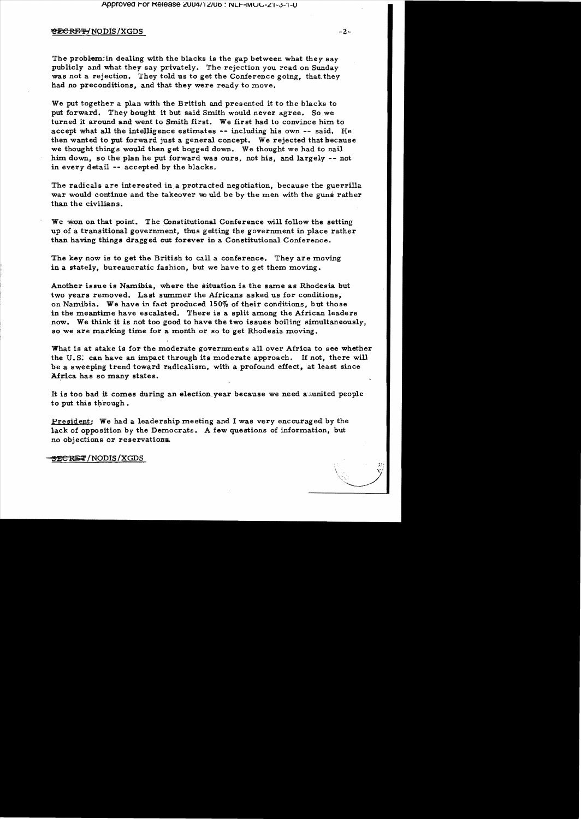### **URGRET/NODIS/XGDS**

The problem: in dealing with the blacks is the gap between what they say publicly and what they say privately. The rejection you read on Sunday was not a rejection. They told us to get the Conference going, that they had no preconditions, and that they were ready to move.

We put together a plan with the British and presented it to the blacks to put forward. They bought it but said Smith would never agree. So we turned it around and went to Smith first. We first had to convince him to accept what all the intelligence estimates -- including his own -- said. He then wanted to put forward just a general concept. We rejected that because we thought thing s would then get bogged down. We thought we had to nail him. down, so the plan he put forward was ours, not his, and largely -- not in every detail  $-$  accepted by the blacks.

The radicals are interested in a protracted negotiation, because the guerrilla war would continue and the takeover wo uld be by the men with the guns rather than the civilians.

We won on that point. The Constitutional Conference will follow the setting up of a transitional government, thus getting the government in place rather than having things dragged out forever in a Constitutional Conference.

The key now is to get the British to call a conference. They are moving in a stately, bureaucratic fashion, but we have to get them moving.

Another issue is Namibia, where the situation is the same as Rhodesia but two years removed. Last summer the Africans asked us for conditions. on Namibia. We have in fact produced 150% of their conditions, but those in the meantime have escalated. There is a split among the African leaders now. We think it is not too good to have the two issues boiling simultaneously, so we are marking time for a month or so to get Rhodesia moving.

What is at stake is for the moderate governments all over Africa to see whether the U.S. can have an impact through its moderate approach. If not, there will be a sweeping trend toward radicalism, with a profound effect, at least since Africa has so many states.

It is too bad it comes during an election year because we need a numited people to put this through.

President: We had a leadership meeting and I was very encouraged by the lack of opposition by the Democrats. A few questions of information, but no objections or reservationa.

<del>SEGRET</del>/NODIS/XGDS

 $-2-$ 

 $\mathfrak{B}^1_1$ 

\\\'.'''-'-'~;/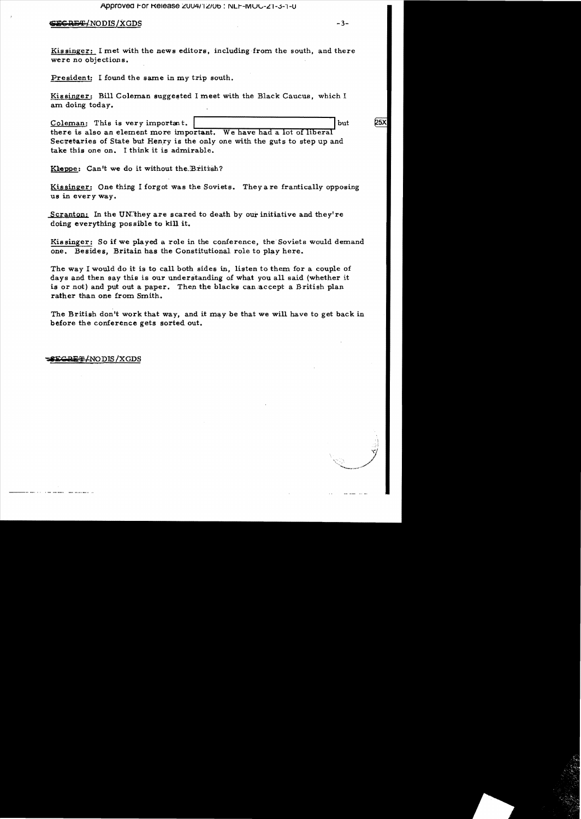#### <del>RET/</del>NODIS/XGDS

 $-3-$ 

25X

Kissinger: I met with the news editors, including from the south, and there were no objections.

President: I found the same in my trip south.

Kissinger: Bill Coleman suggested I meet with the Black Caucus, which I am doing today.

Coleman: This is very important. but there is also an element more important. We have had a lot of liberal Secretaries of State but Henry is the only one with the guts to step up and take this one on. I think it is admirable.

Kleppe: Can't we do it without the British?

Kissinger: One thing I forgot was the Soviets. They are frantically opposing us in every way.

Scranton: In the UN they are scared to death by our initiative and they're doing everything possible to kill it.

Kissinger: So if we played a role in the conference, the Soviets would demand one. Besides, Britain has the Constitutional role to play here.

The way I would do it is to call both sides in, listen to them for a couple of days and then say this is our understanding of what you all said (whether it is or not) and put out a paper. Then the blacks can accept a British plan rather than one from Smith.

The British don't work that way, and it may be that we will have to get back in before the conference gets sorted out.

**EGBET/NODIS/XGDS**